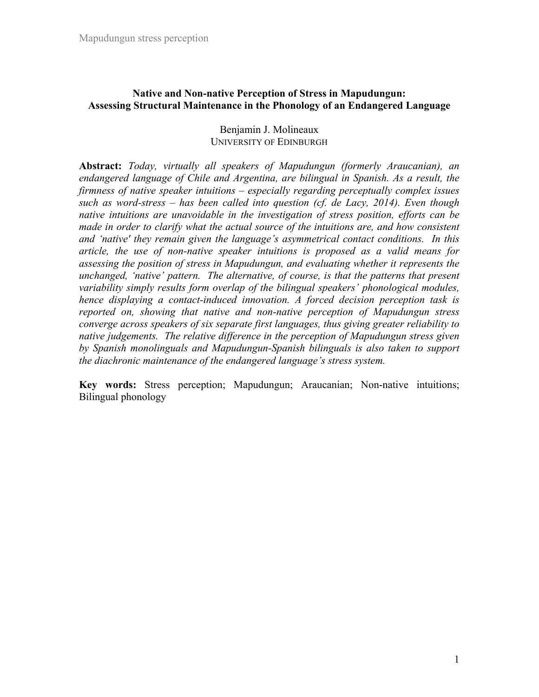# **Native and Non-native Perception of Stress in Mapudungun: Assessing Structural Maintenance in the Phonology of an Endangered Language**

Benjamin J. Molineaux UNIVERSITY OF EDINBURGH

**Abstract:** *Today, virtually all speakers of Mapudungun (formerly Araucanian), an endangered language of Chile and Argentina, are bilingual in Spanish. As a result, the firmness of native speaker intuitions – especially regarding perceptually complex issues such as word-stress – has been called into question (cf. de Lacy, 2014). Even though native intuitions are unavoidable in the investigation of stress position, efforts can be made in order to clarify what the actual source of the intuitions are, and how consistent and 'native' they remain given the language's asymmetrical contact conditions. In this article, the use of non-native speaker intuitions is proposed as a valid means for assessing the position of stress in Mapudungun, and evaluating whether it represents the unchanged, 'native' pattern. The alternative, of course, is that the patterns that present variability simply results form overlap of the bilingual speakers' phonological modules, hence displaying a contact-induced innovation. A forced decision perception task is reported on, showing that native and non-native perception of Mapudungun stress converge across speakers of six separate first languages, thus giving greater reliability to native judgements. The relative difference in the perception of Mapudungun stress given by Spanish monolinguals and Mapudungun-Spanish bilinguals is also taken to support the diachronic maintenance of the endangered language's stress system.* 

**Key words:** Stress perception; Mapudungun; Araucanian; Non-native intuitions; Bilingual phonology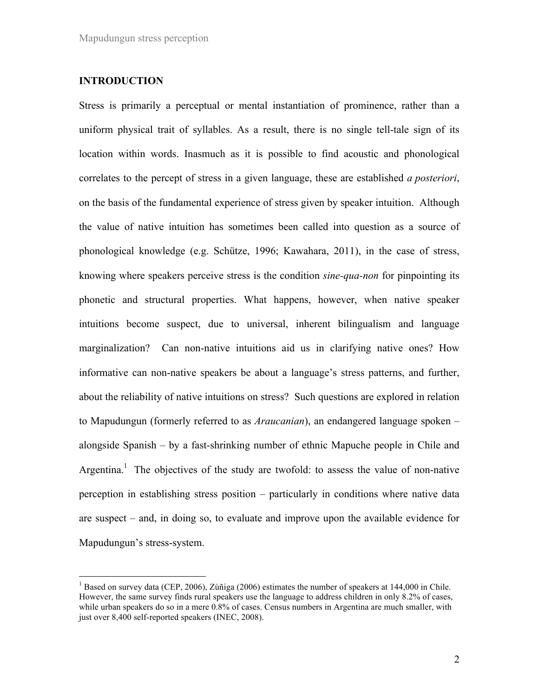### **INTRODUCTION**

Stress is primarily a perceptual or mental instantiation of prominence, rather than a uniform physical trait of syllables. As a result, there is no single tell-tale sign of its location within words. Inasmuch as it is possible to find acoustic and phonological correlates to the percept of stress in a given language, these are established *a posteriori*, on the basis of the fundamental experience of stress given by speaker intuition. Although the value of native intuition has sometimes been called into question as a source of phonological knowledge (e.g. Schütze, 1996; Kawahara, 2011), in the case of stress, knowing where speakers perceive stress is the condition *sine-qua-non* for pinpointing its phonetic and structural properties. What happens, however, when native speaker intuitions become suspect, due to universal, inherent bilingualism and language marginalization? Can non-native intuitions aid us in clarifying native ones? How informative can non-native speakers be about a language's stress patterns, and further, about the reliability of native intuitions on stress? Such questions are explored in relation to Mapudungun (formerly referred to as *Araucanian*), an endangered language spoken – alongside Spanish – by a fast-shrinking number of ethnic Mapuche people in Chile and Argentina.<sup>1</sup> The objectives of the study are twofold: to assess the value of non-native perception in establishing stress position – particularly in conditions where native data are suspect – and, in doing so, to evaluate and improve upon the available evidence for Mapudungun's stress-system.

<sup>&</sup>lt;sup>1</sup> Based on survey data (CEP, 2006), Zúñiga (2006) estimates the number of speakers at 144,000 in Chile. However, the same survey finds rural speakers use the language to address children in only 8.2% of cases, while urban speakers do so in a mere 0.8% of cases. Census numbers in Argentina are much smaller, with just over 8,400 self-reported speakers (INEC, 2008).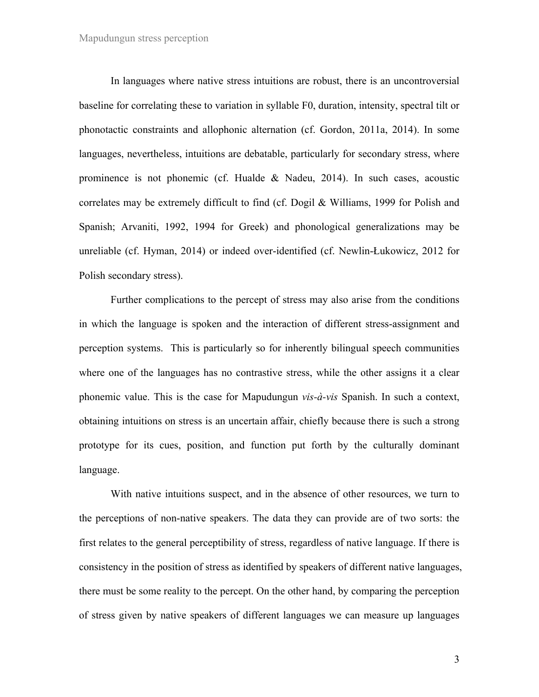#### Mapudungun stress perception

In languages where native stress intuitions are robust, there is an uncontroversial baseline for correlating these to variation in syllable F0, duration, intensity, spectral tilt or phonotactic constraints and allophonic alternation (cf. Gordon, 2011a, 2014). In some languages, nevertheless, intuitions are debatable, particularly for secondary stress, where prominence is not phonemic (cf. Hualde & Nadeu, 2014). In such cases, acoustic correlates may be extremely difficult to find (cf. Dogil & Williams, 1999 for Polish and Spanish; Arvaniti, 1992, 1994 for Greek) and phonological generalizations may be unreliable (cf. Hyman, 2014) or indeed over-identified (cf. Newlin-Łukowicz, 2012 for Polish secondary stress).

Further complications to the percept of stress may also arise from the conditions in which the language is spoken and the interaction of different stress-assignment and perception systems. This is particularly so for inherently bilingual speech communities where one of the languages has no contrastive stress, while the other assigns it a clear phonemic value. This is the case for Mapudungun *vis-à-vis* Spanish. In such a context, obtaining intuitions on stress is an uncertain affair, chiefly because there is such a strong prototype for its cues, position, and function put forth by the culturally dominant language.

With native intuitions suspect, and in the absence of other resources, we turn to the perceptions of non-native speakers. The data they can provide are of two sorts: the first relates to the general perceptibility of stress, regardless of native language. If there is consistency in the position of stress as identified by speakers of different native languages, there must be some reality to the percept. On the other hand, by comparing the perception of stress given by native speakers of different languages we can measure up languages

3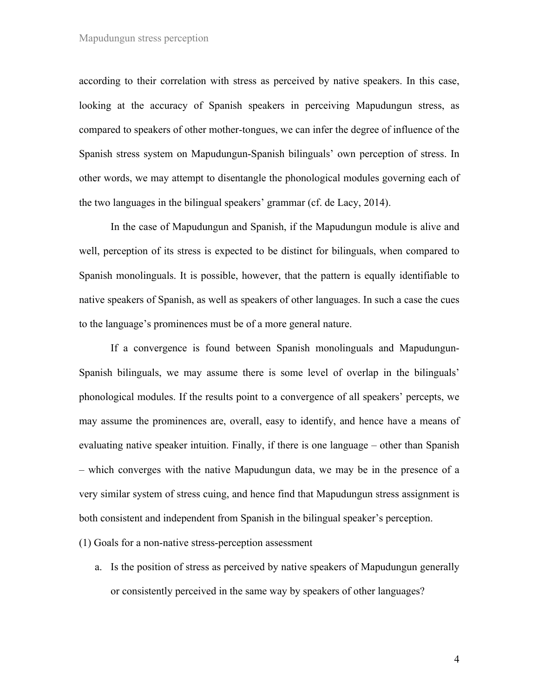according to their correlation with stress as perceived by native speakers. In this case, looking at the accuracy of Spanish speakers in perceiving Mapudungun stress, as compared to speakers of other mother-tongues, we can infer the degree of influence of the Spanish stress system on Mapudungun-Spanish bilinguals' own perception of stress. In other words, we may attempt to disentangle the phonological modules governing each of the two languages in the bilingual speakers' grammar (cf. de Lacy, 2014).

In the case of Mapudungun and Spanish, if the Mapudungun module is alive and well, perception of its stress is expected to be distinct for bilinguals, when compared to Spanish monolinguals. It is possible, however, that the pattern is equally identifiable to native speakers of Spanish, as well as speakers of other languages. In such a case the cues to the language's prominences must be of a more general nature.

If a convergence is found between Spanish monolinguals and Mapudungun-Spanish bilinguals, we may assume there is some level of overlap in the bilinguals' phonological modules. If the results point to a convergence of all speakers' percepts, we may assume the prominences are, overall, easy to identify, and hence have a means of evaluating native speaker intuition. Finally, if there is one language – other than Spanish – which converges with the native Mapudungun data, we may be in the presence of a very similar system of stress cuing, and hence find that Mapudungun stress assignment is both consistent and independent from Spanish in the bilingual speaker's perception.

(1) Goals for a non-native stress-perception assessment

a. Is the position of stress as perceived by native speakers of Mapudungun generally or consistently perceived in the same way by speakers of other languages?

4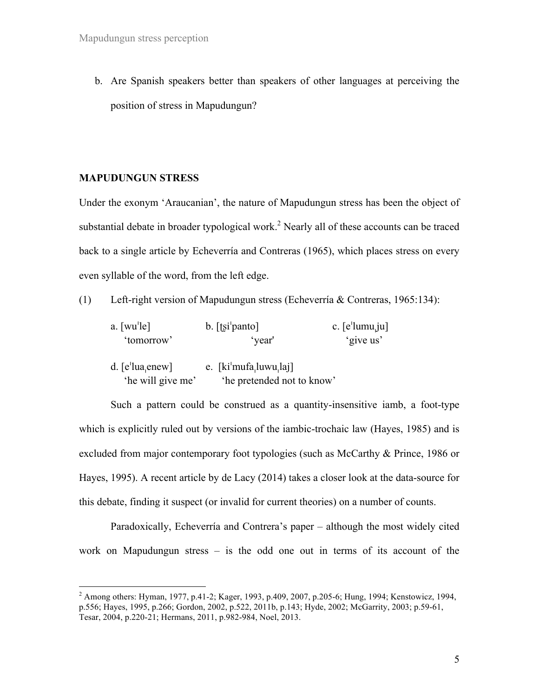b. Are Spanish speakers better than speakers of other languages at perceiving the position of stress in Mapudungun?

#### **MAPUDUNGUN STRESS**

Under the exonym 'Araucanian', the nature of Mapudungun stress has been the object of substantial debate in broader typological work.<sup>2</sup> Nearly all of these accounts can be traced back to a single article by Echeverría and Contreras (1965), which places stress on every even syllable of the word, from the left edge.

(1) Left-right version of Mapudungun stress (Echeverría & Contreras, 1965:134):

| $a.$ [wu <sup>'</sup> le] | $b.$ [tsi panto]<br>c. $[e^{\iota}$ lumu <sub>u</sub> ju] |           |
|---------------------------|-----------------------------------------------------------|-----------|
| 'tomorrow'                | 'vear'                                                    | 'give us' |
| d. $[e^t]$ lua enew       | e. $\left[ki'mufa, luvw, laj\right]$                      |           |
| 'he will give me'         | 'he pretended not to know'                                |           |

Such a pattern could be construed as a quantity-insensitive iamb, a foot-type which is explicitly ruled out by versions of the iambic-trochaic law (Hayes, 1985) and is excluded from major contemporary foot typologies (such as McCarthy & Prince, 1986 or Hayes, 1995). A recent article by de Lacy (2014) takes a closer look at the data-source for this debate, finding it suspect (or invalid for current theories) on a number of counts.

Paradoxically, Echeverría and Contrera's paper – although the most widely cited work on Mapudungun stress – is the odd one out in terms of its account of the

 <sup>2</sup> Among others: Hyman, 1977, p.41-2; Kager, 1993, p.409, 2007, p.205-6; Hung, 1994; Kenstowicz, 1994, p.556; Hayes, 1995, p.266; Gordon, 2002, p.522, 2011b, p.143; Hyde, 2002; McGarrity, 2003; p.59-61, Tesar, 2004, p.220-21; Hermans, 2011, p.982-984, Noel, 2013.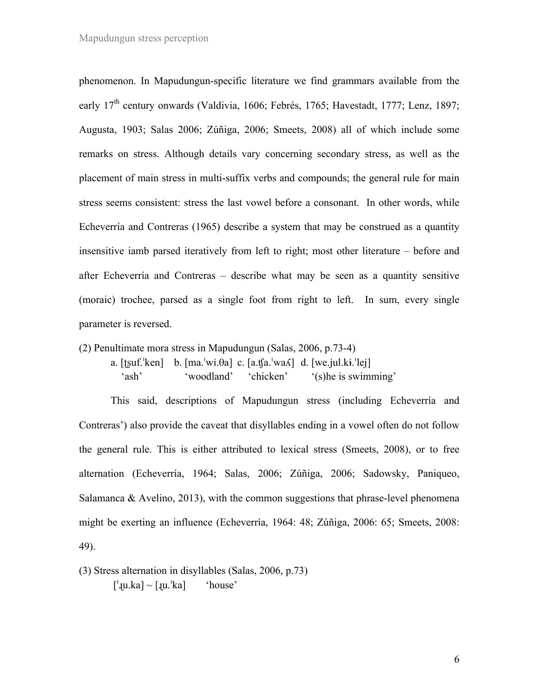phenomenon. In Mapudungun-specific literature we find grammars available from the early 17<sup>th</sup> century onwards (Valdivia, 1606; Febrés, 1765; Havestadt, 1777; Lenz, 1897; Augusta, 1903; Salas 2006; Zúñiga, 2006; Smeets, 2008) all of which include some remarks on stress. Although details vary concerning secondary stress, as well as the placement of main stress in multi-suffix verbs and compounds; the general rule for main stress seems consistent: stress the last vowel before a consonant. In other words, while Echeverría and Contreras (1965) describe a system that may be construed as a quantity insensitive iamb parsed iteratively from left to right; most other literature – before and after Echeverría and Contreras – describe what may be seen as a quantity sensitive (moraic) trochee, parsed as a single foot from right to left. In sum, every single parameter is reversed.

(2) Penultimate mora stress in Mapudungun (Salas, 2006, p.73-4)

a.  $[t\text{suf}^{\text{th}}]$  b.  $[ma]^{\text{th}}\text{su}$ .  $[a!]$  c.  $[a!]$  $[a]^{\text{th}}$  d.  $[we.]$  $u!$ . $ki]^{\text{th}}$ 'ash' 'woodland' 'chicken' '(s)he is swimming'

This said, descriptions of Mapudungun stress (including Echeverría and Contreras') also provide the caveat that disyllables ending in a vowel often do not follow the general rule. This is either attributed to lexical stress (Smeets, 2008), or to free alternation (Echeverría, 1964; Salas, 2006; Zúñiga, 2006; Sadowsky, Paniqueo, Salamanca  $\&$  Avelino, 2013), with the common suggestions that phrase-level phenomena might be exerting an influence (Echeverría, 1964: 48; Zúñiga, 2006: 65; Smeets, 2008: 49).

(3) Stress alternation in disyllables (Salas, 2006, p.73)

 $[\text{!} \mu \text{!} \kappa \text{!} \kappa \text{!} \kappa \text{!} \kappa \text{!} \kappa \text{!} \kappa \text{!} \kappa \text{!} \kappa \text{!} \kappa \text{!} \kappa \text{!} \kappa \text{!} \kappa \text{!} \kappa \text{!} \kappa \text{!} \kappa \text{!} \kappa \text{!} \kappa \text{!} \kappa \text{!} \kappa \text{!} \kappa \text{!} \kappa \text{!} \kappa \text{!} \kappa \text{!} \kappa \text{!} \kappa \text{!} \kappa \text{!}$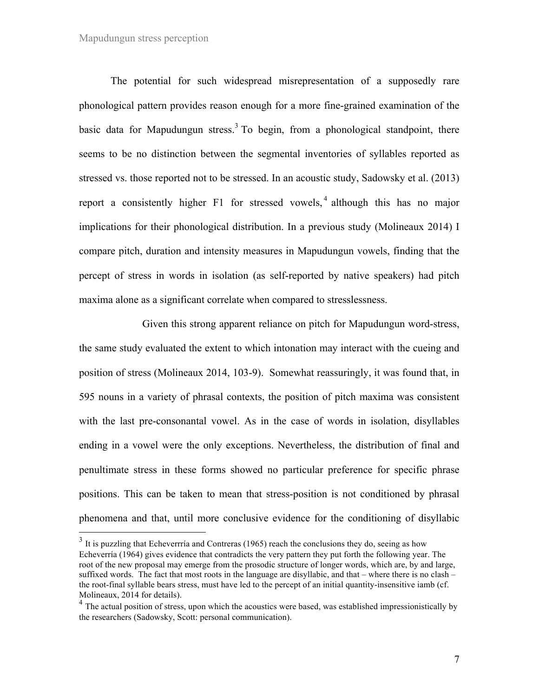#### Mapudungun stress perception

The potential for such widespread misrepresentation of a supposedly rare phonological pattern provides reason enough for a more fine-grained examination of the basic data for Mapudungun stress.<sup>3</sup> To begin, from a phonological standpoint, there seems to be no distinction between the segmental inventories of syllables reported as stressed vs. those reported not to be stressed. In an acoustic study, Sadowsky et al. (2013) report a consistently higher F1 for stressed vowels, <sup>4</sup> although this has no major implications for their phonological distribution. In a previous study (Molineaux 2014) I compare pitch, duration and intensity measures in Mapudungun vowels, finding that the percept of stress in words in isolation (as self-reported by native speakers) had pitch maxima alone as a significant correlate when compared to stresslessness.

Given this strong apparent reliance on pitch for Mapudungun word-stress, the same study evaluated the extent to which intonation may interact with the cueing and position of stress (Molineaux 2014, 103-9). Somewhat reassuringly, it was found that, in 595 nouns in a variety of phrasal contexts, the position of pitch maxima was consistent with the last pre-consonantal vowel. As in the case of words in isolation, disyllables ending in a vowel were the only exceptions. Nevertheless, the distribution of final and penultimate stress in these forms showed no particular preference for specific phrase positions. This can be taken to mean that stress-position is not conditioned by phrasal phenomena and that, until more conclusive evidence for the conditioning of disyllabic

 $3\,$  It is puzzling that Echeverrría and Contreras (1965) reach the conclusions they do, seeing as how Echeverría (1964) gives evidence that contradicts the very pattern they put forth the following year. The root of the new proposal may emerge from the prosodic structure of longer words, which are, by and large, suffixed words. The fact that most roots in the language are disyllabic, and that – where there is no clash – the root-final syllable bears stress, must have led to the percept of an initial quantity-insensitive iamb (cf. Molineaux, 2014 for details).

 $4$  The actual position of stress, upon which the acoustics were based, was established impressionistically by the researchers (Sadowsky, Scott: personal communication).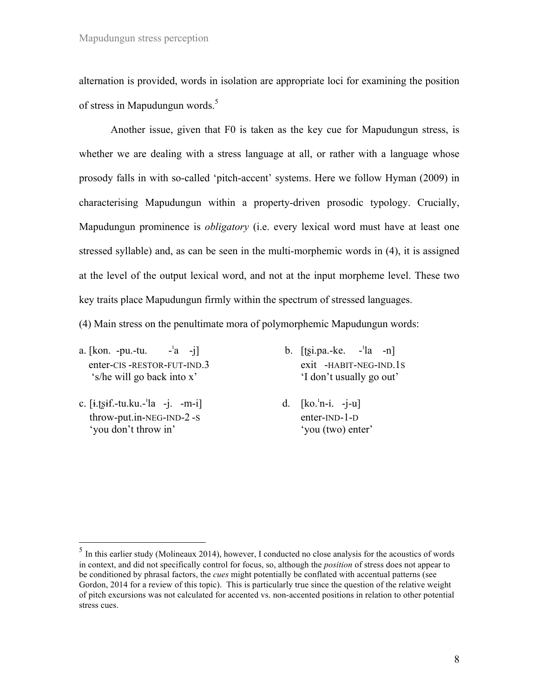alternation is provided, words in isolation are appropriate loci for examining the position of stress in Mapudungun words.<sup>5</sup>

Another issue, given that F0 is taken as the key cue for Mapudungun stress, is whether we are dealing with a stress language at all, or rather with a language whose prosody falls in with so-called 'pitch-accent' systems. Here we follow Hyman (2009) in characterising Mapudungun within a property-driven prosodic typology. Crucially, Mapudungun prominence is *obligatory* (i.e. every lexical word must have at least one stressed syllable) and, as can be seen in the multi-morphemic words in (4), it is assigned at the level of the output lexical word, and not at the input morpheme level. These two key traits place Mapudungun firmly within the spectrum of stressed languages.

(4) Main stress on the penultimate mora of polymorphemic Mapudungun words:

- a.  $[kon. -pu. -tu. -a -i]$  b.  $[fsi.pa. -ke. -la -n]$ enter-CIS -RESTOR-FUT-IND.3 exit -HABIT-NEG-IND.1S 's/he will go back into x' 'I don't usually go out'
- c. [ɨ.ʈʂɨf.-tu.ku.-!la -j. -m-i] d. [ko.!n-i. -j-u] throw-put.in-NEG-IND-2 -S enter-IND-1-D 'you don't throw in' 'you (two) enter'
- -

 $<sup>5</sup>$  In this earlier study (Molineaux 2014), however, I conducted no close analysis for the acoustics of words</sup> in context, and did not specifically control for focus, so, although the *position* of stress does not appear to be conditioned by phrasal factors, the *cues* might potentially be conflated with accentual patterns (see Gordon, 2014 for a review of this topic). This is particularly true since the question of the relative weight of pitch excursions was not calculated for accented vs. non-accented positions in relation to other potential stress cues.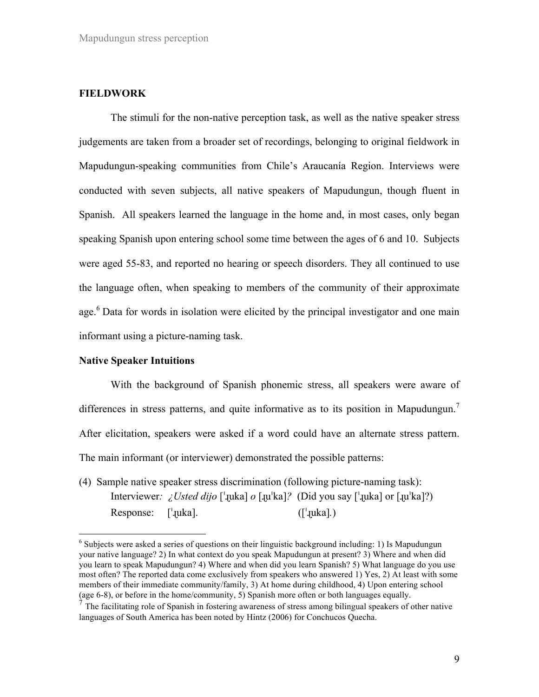### **FIELDWORK**

The stimuli for the non-native perception task, as well as the native speaker stress judgements are taken from a broader set of recordings, belonging to original fieldwork in Mapudungun-speaking communities from Chile's Araucanía Region. Interviews were conducted with seven subjects, all native speakers of Mapudungun, though fluent in Spanish. All speakers learned the language in the home and, in most cases, only began speaking Spanish upon entering school some time between the ages of 6 and 10. Subjects were aged 55-83, and reported no hearing or speech disorders. They all continued to use the language often, when speaking to members of the community of their approximate age.<sup>6</sup> Data for words in isolation were elicited by the principal investigator and one main informant using a picture-naming task.

#### **Native Speaker Intuitions**

With the background of Spanish phonemic stress, all speakers were aware of differences in stress patterns, and quite informative as to its position in Mapudungun.<sup>7</sup> After elicitation, speakers were asked if a word could have an alternate stress pattern. The main informant (or interviewer) demonstrated the possible patterns:

(4) Sample native speaker stress discrimination (following picture-naming task): Interviewer*: ¿Usted dijo* [!ɻuka] *o* [ɻu!ka]*?* (Did you say [!ɻuka] or [ɻu!ka]?) Response: [<sup>1</sup>µuka]. ([<sup>1</sup>µuka].)

 $6$  Subjects were asked a series of questions on their linguistic background including: 1) Is Mapudungun your native language? 2) In what context do you speak Mapudungun at present? 3) Where and when did you learn to speak Mapudungun? 4) Where and when did you learn Spanish? 5) What language do you use most often? The reported data come exclusively from speakers who answered 1) Yes, 2) At least with some members of their immediate community/family, 3) At home during childhood, 4) Upon entering school (age 6-8), or before in the home/community, 5) Spanish more often or both languages equally.

<sup>7</sup> The facilitating role of Spanish in fostering awareness of stress among bilingual speakers of other native languages of South America has been noted by Hintz (2006) for Conchucos Quecha.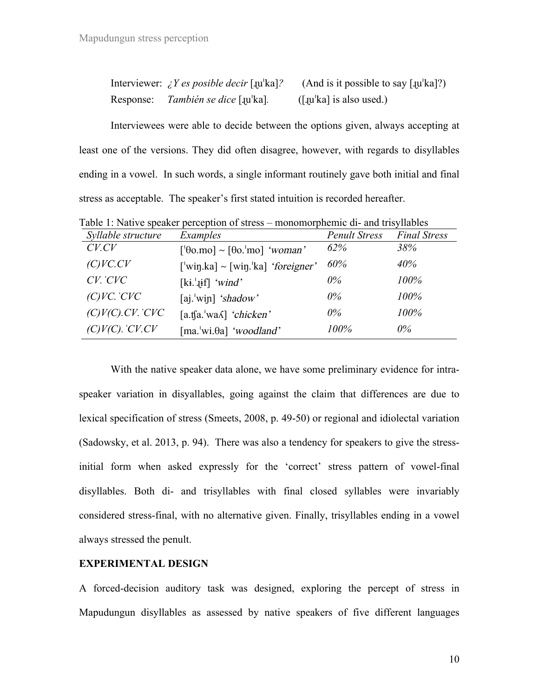|           | Interviewer: $\angle Y$ <i>es posible decir</i> [ $\mu$ <sup>'ka]?</sup> | (And is it possible to say $\lceil \text{qu}'\text{ka} \rceil$ ?) |
|-----------|--------------------------------------------------------------------------|-------------------------------------------------------------------|
| Response: | <i>También se dice</i> [ µ ka].                                          | $(\lceil \text{qu}' \text{ka} \rceil \text{ is also used.})$      |

Interviewees were able to decide between the options given, always accepting at least one of the versions. They did often disagree, however, with regards to disyllables ending in a vowel. In such words, a single informant routinely gave both initial and final stress as acceptable. The speaker's first stated intuition is recorded hereafter.

| Syllable structure        | Examples                                                             | <b>Penult Stress</b> | <b>Final Stress</b> |
|---------------------------|----------------------------------------------------------------------|----------------------|---------------------|
| $C$ <i>V</i> . $CV$       | $\lceil \theta$ 0.mo] ~ $\lceil \theta$ 0. <sup>1</sup> mo] 'woman'  | 62%                  | 38%                 |
| (C)VC.CV                  | $\lceil$ 'win.ka] ~ $\lceil \text{win} \cdot \rceil$ ka] 'foreigner' | 60%                  | 40%                 |
| $CV.$ $CVC$               | $[ki.]$ if] 'wind'                                                   | $0\%$                | 100%                |
| $(C)VC$ . $CVC$           | [aj. $'$ win] 'shadow'                                               | $0\%$                | 100%                |
| $(C)V(C)$ . $CV$ . $CVC$  | $[a.$ tfa. <sup>'</sup> wa $\Lambda$ ] 'chicken'                     | $0\%$                | 100%                |
| $(C)V(C)$ . $C V$ . $C V$ | [ma.'wi. $\theta$ a] 'woodland'                                      | 100%                 | $0\%$               |

Table 1: Native speaker perception of stress – monomorphemic di- and trisyllables

With the native speaker data alone, we have some preliminary evidence for intraspeaker variation in disyallables, going against the claim that differences are due to lexical specification of stress (Smeets, 2008, p. 49-50) or regional and idiolectal variation (Sadowsky, et al. 2013, p. 94). There was also a tendency for speakers to give the stressinitial form when asked expressly for the 'correct' stress pattern of vowel-final disyllables. Both di- and trisyllables with final closed syllables were invariably considered stress-final, with no alternative given. Finally, trisyllables ending in a vowel always stressed the penult.

## **EXPERIMENTAL DESIGN**

A forced-decision auditory task was designed, exploring the percept of stress in Mapudungun disyllables as assessed by native speakers of five different languages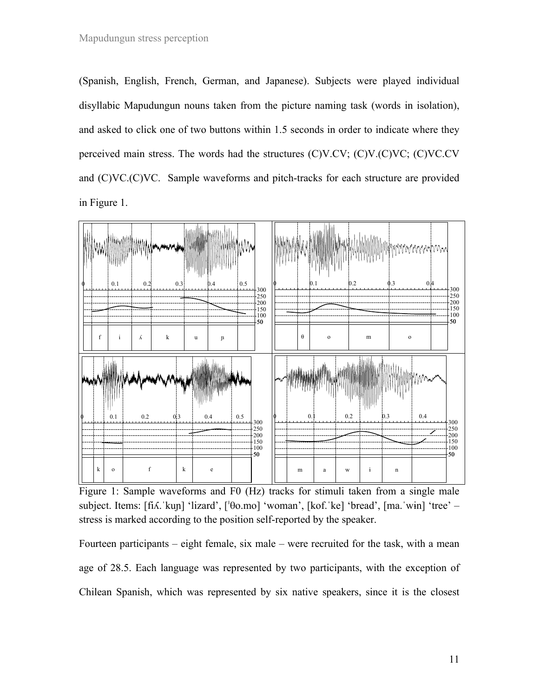(Spanish, English, French, German, and Japanese). Subjects were played individual disyllabic Mapudungun nouns taken from the picture naming task (words in isolation), and asked to click one of two buttons within 1.5 seconds in order to indicate where they perceived main stress. The words had the structures (C)V.CV; (C)V.(C)VC; (C)VC.CV and (C)VC.(C)VC. Sample waveforms and pitch-tracks for each structure are provided in Figure 1.



Figure 1: Sample waveforms and F0 (Hz) tracks for stimuli taken from a single male subject. Items: [fiλ.ˈkun] 'lizard', [ˈθo.mo] 'woman', [kof.ˈke] 'bread', [ma.ˈwɨn] 'tree' – stress is marked according to the position self-reported by the speaker.

Fourteen participants – eight female, six male – were recruited for the task, with a mean age of 28.5. Each language was represented by two participants, with the exception of Chilean Spanish, which was represented by six native speakers, since it is the closest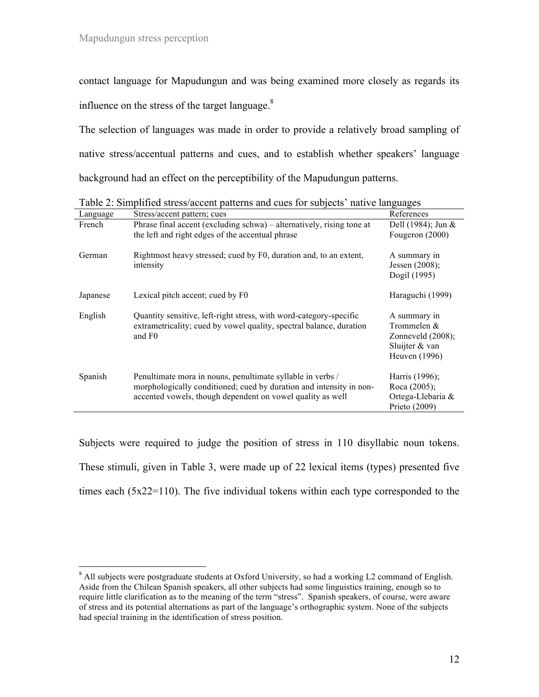contact language for Mapudungun and was being examined more closely as regards its influence on the stress of the target language. $8<sup>8</sup>$ 

The selection of languages was made in order to provide a relatively broad sampling of native stress/accentual patterns and cues, and to establish whether speakers' language background had an effect on the perceptibility of the Mapudungun patterns.

| Language | Stress/accent pattern; cues                                                                                                                                                                     | References                                                                               |
|----------|-------------------------------------------------------------------------------------------------------------------------------------------------------------------------------------------------|------------------------------------------------------------------------------------------|
| French   | Phrase final accent (excluding schwa) – alternatively, rising tone at<br>the left and right edges of the accentual phrase                                                                       | Dell (1984); Jun $\&$<br>Fougeron (2000)                                                 |
| German   | Rightmost heavy stressed; cued by F0, duration and, to an extent,<br>intensity                                                                                                                  | A summary in<br>Jessen $(2008)$ ;<br>Dogil (1995)                                        |
| Japanese | Lexical pitch accent; cued by F0                                                                                                                                                                | Haraguchi (1999)                                                                         |
| English  | Quantity sensitive, left-right stress, with word-category-specific<br>extrametricality; cued by vowel quality, spectral balance, duration<br>and F <sub>0</sub>                                 | A summary in<br>Trommelen &<br>Zonneveld $(2008)$ ;<br>Sluijter $&$ van<br>Heuven (1996) |
| Spanish  | Penultimate mora in nouns, penultimate syllable in verbs /<br>morphologically conditioned; cued by duration and intensity in non-<br>accented vowels, though dependent on vowel quality as well | Harris (1996);<br>Roca (2005);<br>Ortega-Llebaria &<br>Prieto $(2009)$                   |

Table 2: Simplified stress/accent patterns and cues for subjects' native languages

Subjects were required to judge the position of stress in 110 disyllabic noun tokens. These stimuli, given in Table 3, were made up of 22 lexical items (types) presented five times each (5x22=110). The five individual tokens within each type corresponded to the

 $8$  All subjects were postgraduate students at Oxford University, so had a working L2 command of English. Aside from the Chilean Spanish speakers, all other subjects had some linguistics training, enough so to require little clarification as to the meaning of the term "stress". Spanish speakers, of course, were aware of stress and its potential alternations as part of the language's orthographic system. None of the subjects had special training in the identification of stress position.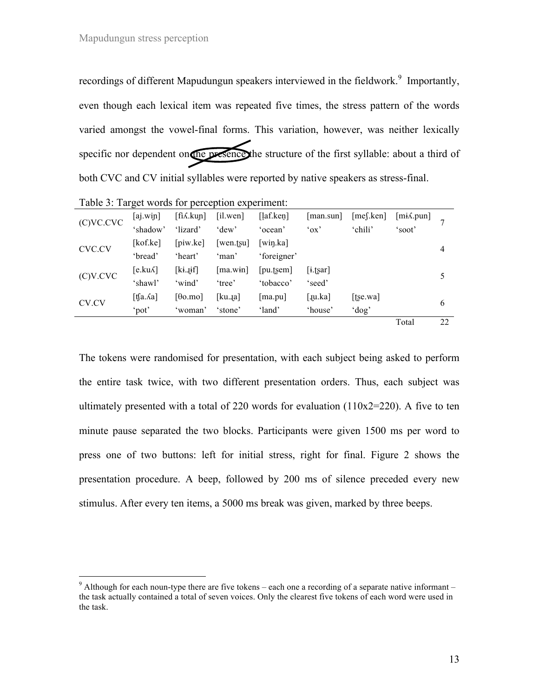recordings of different Mapudungun speakers interviewed in the fieldwork.<sup>9</sup> Importantly, even though each lexical item was repeated five times, the stress pattern of the words varied amongst the vowel-final forms. This variation, however, was neither lexically specific nor dependent on the presence the structure of the first syllable: about a third of both CVC and CV initial syllables were reported by native speakers as stress-final.

| Table 5. Target words for perception experiment. |                    |                   |                   |                                 |             |              |                        |    |
|--------------------------------------------------|--------------------|-------------------|-------------------|---------------------------------|-------------|--------------|------------------------|----|
| (C)VC.CVC                                        | [aj.wiɲ]           | $[fi\lambda.kup]$ | [i].wen]          | $\lceil \ln(\text{len}) \rceil$ | [man.sum]   | $[me$ [.ken] | [m <sub>i</sub> A.pun] | 7  |
|                                                  | 'shadow'           | 'lizard'          | 'dew'             | 'ocean'                         | 'ox'        | 'chili'      | 'soot'                 |    |
|                                                  | [kof.ke]           | [ $piw$ .ke]      | [wen.fsu]         | [win.ka]                        |             |              |                        | 4  |
| CVC.CV                                           | 'bread'            | 'heart'           | 'man'             | 'foreigner'                     |             |              |                        |    |
|                                                  | $[e.ku\Lambda]$    | $[ki$ . $jif]$    | $[\text{ma.win}]$ | [pu.tsem]                       | $[i.$ tsar] |              |                        | 5  |
| (C)V.CVC                                         | 'shawl'            | 'wind'            | 'tree'            | 'tobacco'                       | 'seed'      |              |                        |    |
| CV.CV                                            | [t͡[a. $\delta$ a] | $[00 \text{ m}$   | [ku. $a$ ]        | ma.pu                           | [Ju.ka]     | [tse.wa]     |                        | 6  |
|                                                  | 'pot'              | 'woman'           | 'stone'           | 'land'                          | 'house'     | 'dog'        |                        |    |
|                                                  |                    |                   |                   |                                 |             |              | Total                  | 22 |

Table 3: Target words for perception experiment:

The tokens were randomised for presentation, with each subject being asked to perform the entire task twice, with two different presentation orders. Thus, each subject was ultimately presented with a total of 220 words for evaluation  $(110x2=220)$ . A five to ten minute pause separated the two blocks. Participants were given 1500 ms per word to press one of two buttons: left for initial stress, right for final. Figure 2 shows the presentation procedure. A beep, followed by 200 ms of silence preceded every new stimulus. After every ten items, a 5000 ms break was given, marked by three beeps.

<sup>&</sup>lt;sup>9</sup> Although for each noun-type there are five tokens – each one a recording of a separate native informant – the task actually contained a total of seven voices. Only the clearest five tokens of each word were used in the task.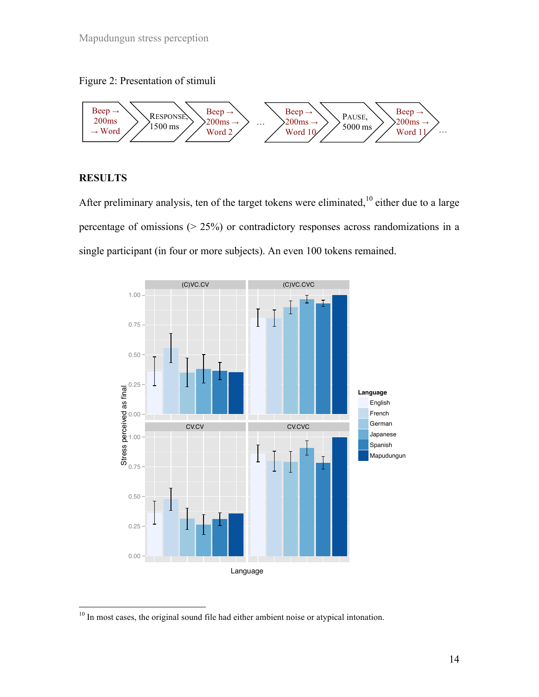



## **RESULTS**

After preliminary analysis, ten of the target tokens were eliminated,  $10$  either due to a large percentage of omissions (> 25%) or contradictory responses across randomizations in a single participant (in four or more subjects). An even 100 tokens remained.



<sup>&</sup>lt;sup>10</sup> In most cases, the original sound file had either ambient noise or atypical intonation.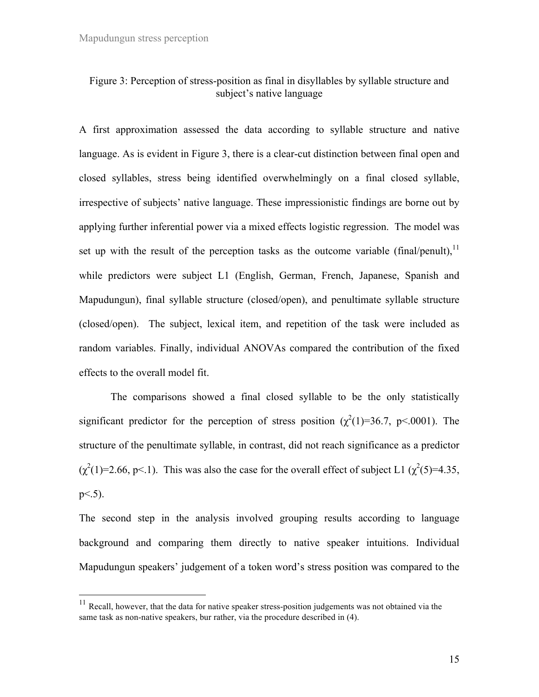## Figure 3: Perception of stress-position as final in disyllables by syllable structure and subject's native language

A first approximation assessed the data according to syllable structure and native language. As is evident in Figure 3, there is a clear-cut distinction between final open and closed syllables, stress being identified overwhelmingly on a final closed syllable, irrespective of subjects' native language. These impressionistic findings are borne out by applying further inferential power via a mixed effects logistic regression. The model was set up with the result of the perception tasks as the outcome variable (final/penult),  $\frac{11}{11}$ while predictors were subject L1 (English, German, French, Japanese, Spanish and Mapudungun), final syllable structure (closed/open), and penultimate syllable structure (closed/open). The subject, lexical item, and repetition of the task were included as random variables. Finally, individual ANOVAs compared the contribution of the fixed effects to the overall model fit.

The comparisons showed a final closed syllable to be the only statistically significant predictor for the perception of stress position  $(\chi^2(1)=36.7, \, p<.0001)$ . The structure of the penultimate syllable, in contrast, did not reach significance as a predictor  $(\chi^2(1)=2.66, p<1)$ . This was also the case for the overall effect of subject L1  $(\chi^2(5)=4.35,$  $p< 5$ ).

The second step in the analysis involved grouping results according to language background and comparing them directly to native speaker intuitions. Individual Mapudungun speakers' judgement of a token word's stress position was compared to the

 $11$  Recall, however, that the data for native speaker stress-position judgements was not obtained via the same task as non-native speakers, bur rather, via the procedure described in (4).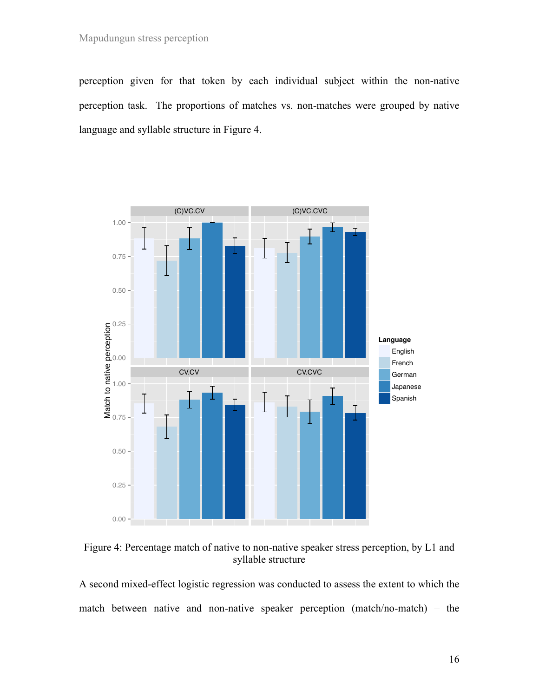perception given for that token by each individual subject within the non-native perception task. The proportions of matches vs. non-matches were grouped by native language and syllable structure in Figure 4.



Figure 4: Percentage match of native to non-native speaker stress perception, by L1 and syllable structure

A second mixed-effect logistic regression was conducted to assess the extent to which the match between native and non-native speaker perception (match/no-match) – the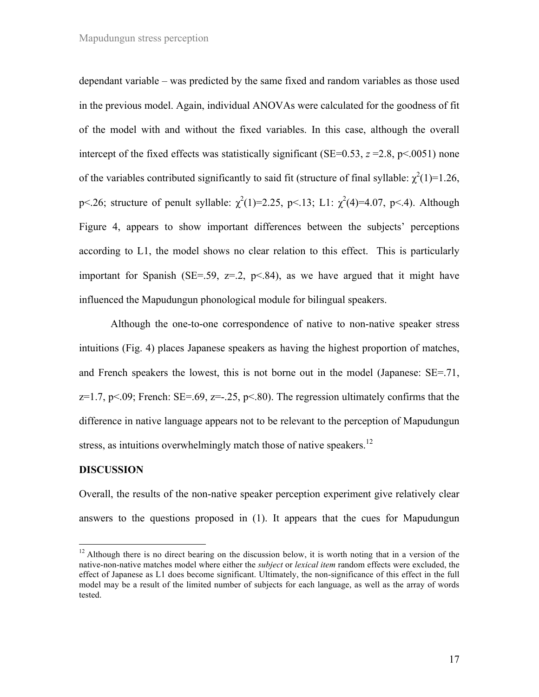dependant variable – was predicted by the same fixed and random variables as those used in the previous model. Again, individual ANOVAs were calculated for the goodness of fit of the model with and without the fixed variables. In this case, although the overall intercept of the fixed effects was statistically significant (SE=0.53,  $z = 2.8$ ,  $p \le 0.0051$ ) none of the variables contributed significantly to said fit (structure of final syllable:  $\chi^2(1)=1.26$ , p<.26; structure of penult syllable:  $\chi^2(1)=2.25$ , p<.13; L1:  $\chi^2(4)=4.07$ , p<.4). Although Figure 4, appears to show important differences between the subjects' perceptions according to L1, the model shows no clear relation to this effect. This is particularly important for Spanish (SE=.59,  $z=0.2$ ,  $p<0.84$ ), as we have argued that it might have influenced the Mapudungun phonological module for bilingual speakers.

Although the one-to-one correspondence of native to non-native speaker stress intuitions (Fig. 4) places Japanese speakers as having the highest proportion of matches, and French speakers the lowest, this is not borne out in the model (Japanese: SE=.71,  $z=1.7$ , p $\leq$ .09; French: SE=.69,  $z=-.25$ , p $\leq$ .80). The regression ultimately confirms that the difference in native language appears not to be relevant to the perception of Mapudungun stress, as intuitions overwhelmingly match those of native speakers.<sup>12</sup>

#### **DISCUSSION**

Overall, the results of the non-native speaker perception experiment give relatively clear answers to the questions proposed in (1). It appears that the cues for Mapudungun

<sup>&</sup>lt;sup>12</sup> Although there is no direct bearing on the discussion below, it is worth noting that in a version of the native-non-native matches model where either the *subject* or *lexical item* random effects were excluded, the effect of Japanese as L1 does become significant. Ultimately, the non-significance of this effect in the full model may be a result of the limited number of subjects for each language, as well as the array of words tested.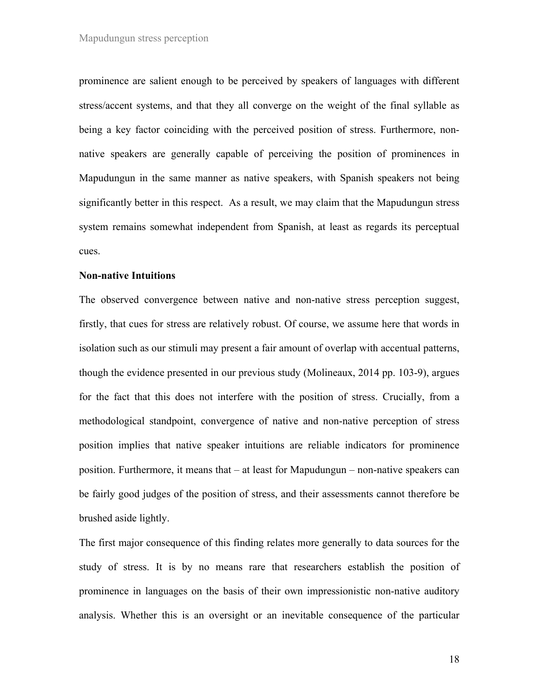prominence are salient enough to be perceived by speakers of languages with different stress/accent systems, and that they all converge on the weight of the final syllable as being a key factor coinciding with the perceived position of stress. Furthermore, nonnative speakers are generally capable of perceiving the position of prominences in Mapudungun in the same manner as native speakers, with Spanish speakers not being significantly better in this respect. As a result, we may claim that the Mapudungun stress system remains somewhat independent from Spanish, at least as regards its perceptual cues.

### **Non-native Intuitions**

The observed convergence between native and non-native stress perception suggest, firstly, that cues for stress are relatively robust. Of course, we assume here that words in isolation such as our stimuli may present a fair amount of overlap with accentual patterns, though the evidence presented in our previous study (Molineaux, 2014 pp. 103-9), argues for the fact that this does not interfere with the position of stress. Crucially, from a methodological standpoint, convergence of native and non-native perception of stress position implies that native speaker intuitions are reliable indicators for prominence position. Furthermore, it means that – at least for Mapudungun – non-native speakers can be fairly good judges of the position of stress, and their assessments cannot therefore be brushed aside lightly.

The first major consequence of this finding relates more generally to data sources for the study of stress. It is by no means rare that researchers establish the position of prominence in languages on the basis of their own impressionistic non-native auditory analysis. Whether this is an oversight or an inevitable consequence of the particular

18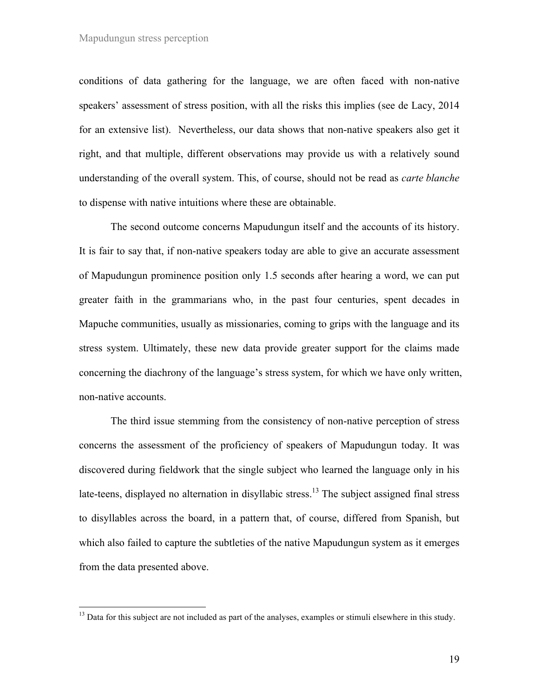conditions of data gathering for the language, we are often faced with non-native speakers' assessment of stress position, with all the risks this implies (see de Lacy, 2014 for an extensive list). Nevertheless, our data shows that non-native speakers also get it right, and that multiple, different observations may provide us with a relatively sound understanding of the overall system. This, of course, should not be read as *carte blanche* to dispense with native intuitions where these are obtainable.

The second outcome concerns Mapudungun itself and the accounts of its history. It is fair to say that, if non-native speakers today are able to give an accurate assessment of Mapudungun prominence position only 1.5 seconds after hearing a word, we can put greater faith in the grammarians who, in the past four centuries, spent decades in Mapuche communities, usually as missionaries, coming to grips with the language and its stress system. Ultimately, these new data provide greater support for the claims made concerning the diachrony of the language's stress system, for which we have only written, non-native accounts.

The third issue stemming from the consistency of non-native perception of stress concerns the assessment of the proficiency of speakers of Mapudungun today. It was discovered during fieldwork that the single subject who learned the language only in his late-teens, displayed no alternation in disyllabic stress.<sup>13</sup> The subject assigned final stress to disyllables across the board, in a pattern that, of course, differed from Spanish, but which also failed to capture the subtleties of the native Mapudungun system as it emerges from the data presented above.

<sup>&</sup>lt;sup>13</sup> Data for this subject are not included as part of the analyses, examples or stimuli elsewhere in this study.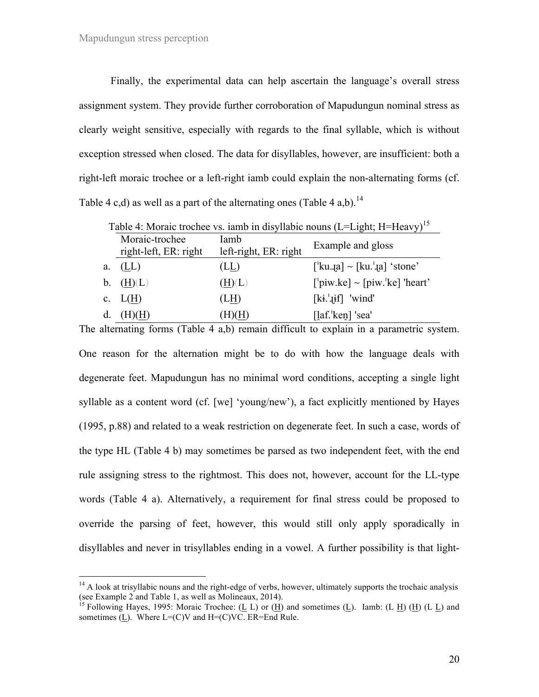Finally, the experimental data can help ascertain the language's overall stress assignment system. They provide further corroboration of Mapudungun nominal stress as clearly weight sensitive, especially with regards to the final syllable, which is without exception stressed when closed. The data for disyllables, however, are insufficient: both a right-left moraic trochee or a left-right iamb could explain the non-alternating forms (cf. Table 4 c,d) as well as a part of the alternating ones (Table 4 a,b).<sup>14</sup>

|    | Table $\pi$ , indiale trouble vs. famo in disymable houns (E. Eight, 11 Treavy) |                                                    |                                                       |  |  |
|----|---------------------------------------------------------------------------------|----------------------------------------------------|-------------------------------------------------------|--|--|
|    | Moraic-trochee<br>right-left, ER: right                                         | Iamb<br>Example and gloss<br>left-right, ER: right |                                                       |  |  |
| а. | (LL)                                                                            | (LL)                                               | $\lceil$ kua] ~ $\lceil$ ku. <sup>1</sup> .a] 'stone' |  |  |
|    | b. $(H)(L)$                                                                     | (H)(L)                                             | $\lceil$ 'piw.ke] ~ [piw.'ke] 'heart'                 |  |  |
|    | c. $L(H)$                                                                       | (LH)                                               | $[ki.]$ if 'wind'                                     |  |  |
|    | d. $(H)(H)$                                                                     | (H)(H)                                             | $\left[$ laf. ken] 'sea'                              |  |  |

Table 4: Moraic trochee vs. jamb in disyllabic nouns  $(I = I \cdot \text{ight} \cdot H = H_{\text{BAVV}})^{15}$ 

The alternating forms (Table 4 a,b) remain difficult to explain in a parametric system. One reason for the alternation might be to do with how the language deals with degenerate feet. Mapudungun has no minimal word conditions, accepting a single light syllable as a content word (cf. [we] 'young/new'), a fact explicitly mentioned by Hayes (1995, p.88) and related to a weak restriction on degenerate feet. In such a case, words of the type HL (Table 4 b) may sometimes be parsed as two independent feet, with the end rule assigning stress to the rightmost. This does not, however, account for the LL-type words (Table 4 a). Alternatively, a requirement for final stress could be proposed to override the parsing of feet, however, this would still only apply sporadically in disyllables and never in trisyllables ending in a vowel. A further possibility is that light-

 $14$  A look at trisyllabic nouns and the right-edge of verbs, however, ultimately supports the trochaic analysis (see Example 2 and Table 1, as well as Molineaux,  $2014$ ).

<sup>&</sup>lt;sup>15</sup> Following Hayes, 1995: Moraic Trochee: ( $\underline{L}$  L) or ( $\underline{H}$ ) and sometimes ( $\underline{L}$ ). Iamb: (L  $\underline{H}$ ) ( $\underline{H}$ ) (L  $\underline{L}$ ) and sometimes (L). Where  $L=(C)V$  and  $H=(C)VC$ . ER=End Rule.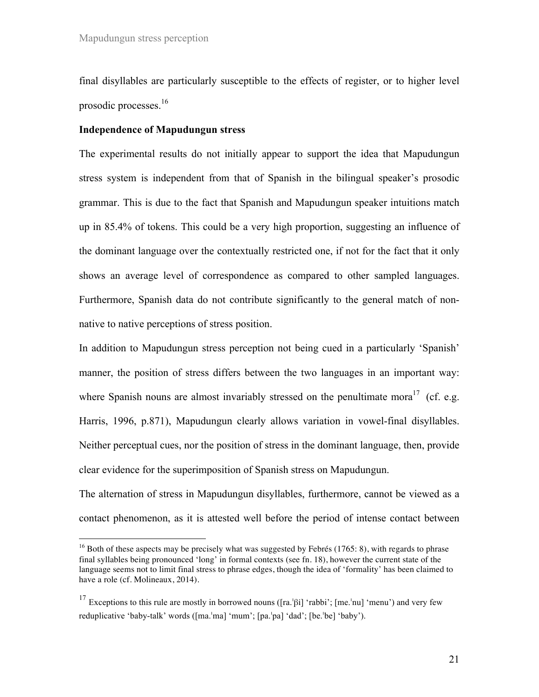final disyllables are particularly susceptible to the effects of register, or to higher level prosodic processes.<sup>16</sup>

### **Independence of Mapudungun stress**

The experimental results do not initially appear to support the idea that Mapudungun stress system is independent from that of Spanish in the bilingual speaker's prosodic grammar. This is due to the fact that Spanish and Mapudungun speaker intuitions match up in 85.4% of tokens. This could be a very high proportion, suggesting an influence of the dominant language over the contextually restricted one, if not for the fact that it only shows an average level of correspondence as compared to other sampled languages. Furthermore, Spanish data do not contribute significantly to the general match of nonnative to native perceptions of stress position.

In addition to Mapudungun stress perception not being cued in a particularly 'Spanish' manner, the position of stress differs between the two languages in an important way: where Spanish nouns are almost invariably stressed on the penultimate mora<sup>17</sup> (cf. e.g. Harris, 1996, p.871), Mapudungun clearly allows variation in vowel-final disyllables. Neither perceptual cues, nor the position of stress in the dominant language, then, provide clear evidence for the superimposition of Spanish stress on Mapudungun.

The alternation of stress in Mapudungun disyllables, furthermore, cannot be viewed as a contact phenomenon, as it is attested well before the period of intense contact between

<sup>&</sup>lt;sup>16</sup> Both of these aspects may be precisely what was suggested by Febrés (1765: 8), with regards to phrase final syllables being pronounced 'long' in formal contexts (see fn. 18), however the current state of the language seems not to limit final stress to phrase edges, though the idea of 'formality' has been claimed to have a role (cf. Molineaux, 2014).

<sup>&</sup>lt;sup>17</sup> Exceptions to this rule are mostly in borrowed nouns ( $[ra.^\beta[i]$  'rabbi';  $[me.^\prime nu]$  'menu') and very few reduplicative 'baby-talk' words ([ma.<sup>1</sup>ma] 'mum'; [pa.<sup>1</sup>pa] 'dad'; [be.<sup>1</sup>be] 'baby').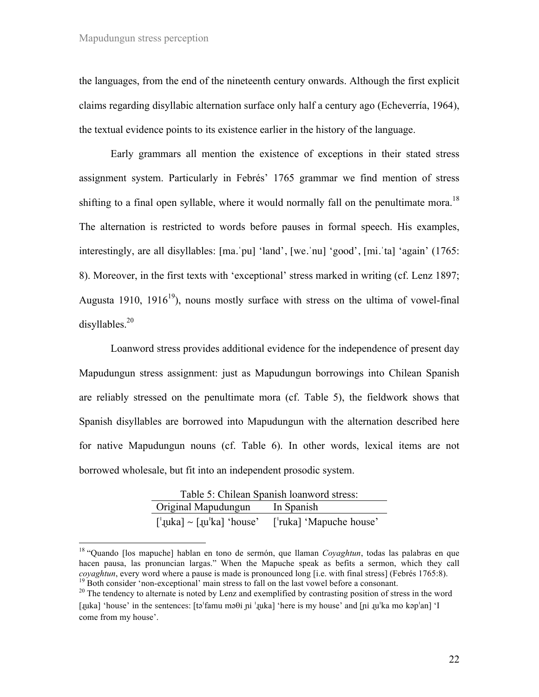the languages, from the end of the nineteenth century onwards. Although the first explicit claims regarding disyllabic alternation surface only half a century ago (Echeverría, 1964), the textual evidence points to its existence earlier in the history of the language.

Early grammars all mention the existence of exceptions in their stated stress assignment system. Particularly in Febrés' 1765 grammar we find mention of stress shifting to a final open syllable, where it would normally fall on the penultimate mora.<sup>18</sup> The alternation is restricted to words before pauses in formal speech. His examples, interestingly, are all disyllables: [ma.ˈpu] 'land', [we.ˈnu] 'good', [mi.ˈta] 'again' (1765: 8). Moreover, in the first texts with 'exceptional' stress marked in writing (cf. Lenz 1897; Augusta 1910, 1916<sup>19</sup>), nouns mostly surface with stress on the ultima of vowel-final disyllables.<sup>20</sup>

Loanword stress provides additional evidence for the independence of present day Mapudungun stress assignment: just as Mapudungun borrowings into Chilean Spanish are reliably stressed on the penultimate mora (cf. Table 5), the fieldwork shows that Spanish disyllables are borrowed into Mapudungun with the alternation described here for native Mapudungun nouns (cf. Table 6). In other words, lexical items are not borrowed wholesale, but fit into an independent prosodic system.

| Table 5: Chilean Spanish loanword stress:                                          |                         |  |  |  |
|------------------------------------------------------------------------------------|-------------------------|--|--|--|
| Original Mapudungun                                                                | In Spanish              |  |  |  |
| $\lceil \cdot \text{[luka]} \rangle$ $\sim$ $\lceil \text{[luka]} \rangle$ 'house' | ['ruka] 'Mapuche house' |  |  |  |

 <sup>18</sup> "Quando [los mapuche] hablan en tono de sermón, que llaman *Coyaghtun*, todas las palabras en que hacen pausa, las pronuncian largas." When the Mapuche speak as befits a sermon, which they call *coyaghtun*, every word where a pause is made is pronounced long [i.e. with final stress] (Febrés 1765:8).<br><sup>19</sup> Both consider 'non-exceptional' main stress to fall on the last vowel before a consonant.<br><sup>20</sup> The tendency to

<sup>[</sup>ɻuka] 'house' in the sentences: [tə!famu məθi ɲi !ɻuka] 'here is my house' and [ɲi ɻu!ka mo kəp!an] 'I come from my house'.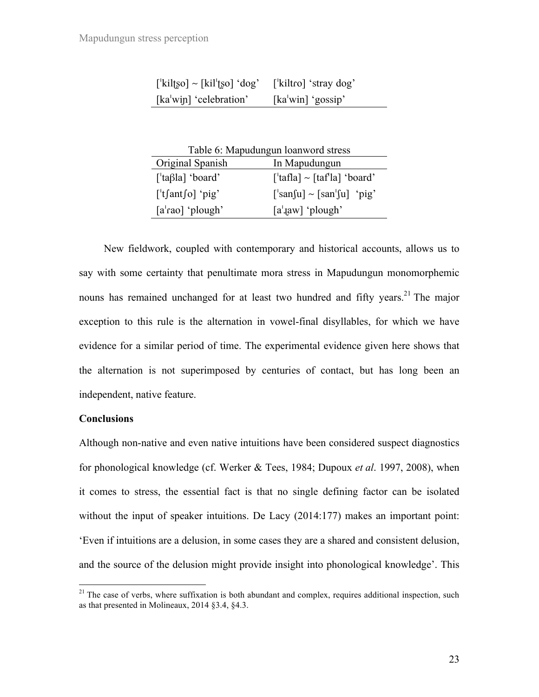| $\lceil$ 'kiltso] ~ $\lceil$ kil <sup>t</sup> so] 'dog' | ['kiltro] 'stray dog'                                  |
|---------------------------------------------------------|--------------------------------------------------------|
| [ $ka^{\dagger}$ win] 'celebration'                     | $\left[\text{ka}^{\dagger} \text{win}\right]$ 'gossip' |

| Table 6: Mapudungun loanword stress |  |  |  |
|-------------------------------------|--|--|--|
|                                     |  |  |  |
|                                     |  |  |  |
|                                     |  |  |  |
|                                     |  |  |  |
|                                     |  |  |  |

New fieldwork, coupled with contemporary and historical accounts, allows us to say with some certainty that penultimate mora stress in Mapudungun monomorphemic nouns has remained unchanged for at least two hundred and fifty years.<sup>21</sup> The major exception to this rule is the alternation in vowel-final disyllables, for which we have evidence for a similar period of time. The experimental evidence given here shows that the alternation is not superimposed by centuries of contact, but has long been an independent, native feature.

### **Conclusions**

Although non-native and even native intuitions have been considered suspect diagnostics for phonological knowledge (cf. Werker & Tees, 1984; Dupoux *et al*. 1997, 2008), when it comes to stress, the essential fact is that no single defining factor can be isolated without the input of speaker intuitions. De Lacy (2014:177) makes an important point: 'Even if intuitions are a delusion, in some cases they are a shared and consistent delusion, and the source of the delusion might provide insight into phonological knowledge'. This

 $21$  The case of verbs, where suffixation is both abundant and complex, requires additional inspection, such as that presented in Molineaux, 2014 §3.4, §4.3.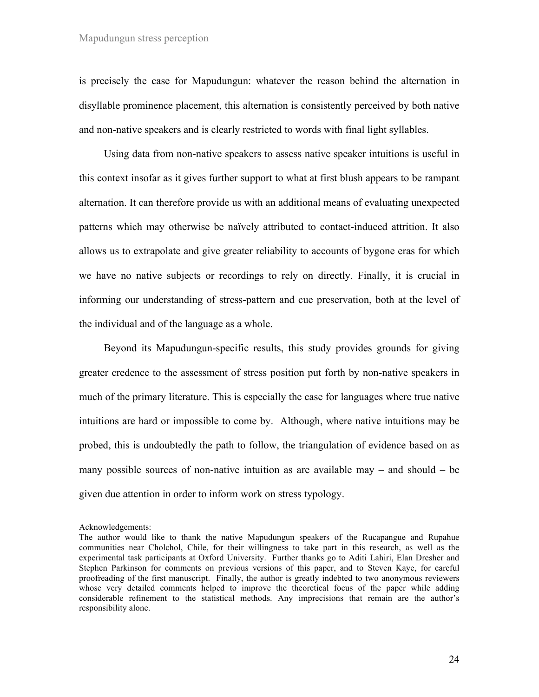is precisely the case for Mapudungun: whatever the reason behind the alternation in disyllable prominence placement, this alternation is consistently perceived by both native and non-native speakers and is clearly restricted to words with final light syllables.

Using data from non-native speakers to assess native speaker intuitions is useful in this context insofar as it gives further support to what at first blush appears to be rampant alternation. It can therefore provide us with an additional means of evaluating unexpected patterns which may otherwise be naïvely attributed to contact-induced attrition. It also allows us to extrapolate and give greater reliability to accounts of bygone eras for which we have no native subjects or recordings to rely on directly. Finally, it is crucial in informing our understanding of stress-pattern and cue preservation, both at the level of the individual and of the language as a whole.

Beyond its Mapudungun-specific results, this study provides grounds for giving greater credence to the assessment of stress position put forth by non-native speakers in much of the primary literature. This is especially the case for languages where true native intuitions are hard or impossible to come by. Although, where native intuitions may be probed, this is undoubtedly the path to follow, the triangulation of evidence based on as many possible sources of non-native intuition as are available may – and should – be given due attention in order to inform work on stress typology.

Acknowledgements:

The author would like to thank the native Mapudungun speakers of the Rucapangue and Rupahue communities near Cholchol, Chile, for their willingness to take part in this research, as well as the experimental task participants at Oxford University. Further thanks go to Aditi Lahiri, Elan Dresher and Stephen Parkinson for comments on previous versions of this paper, and to Steven Kaye, for careful proofreading of the first manuscript. Finally, the author is greatly indebted to two anonymous reviewers whose very detailed comments helped to improve the theoretical focus of the paper while adding considerable refinement to the statistical methods. Any imprecisions that remain are the author's responsibility alone.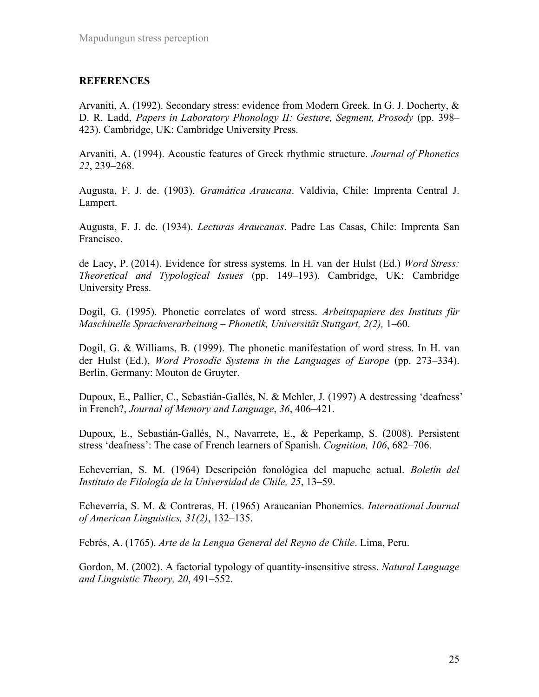## **REFERENCES**

Arvaniti, A. (1992). Secondary stress: evidence from Modern Greek. In G. J. Docherty, & D. R. Ladd, *Papers in Laboratory Phonology II: Gesture, Segment, Prosody* (pp. 398– 423). Cambridge, UK: Cambridge University Press.

Arvaniti, A. (1994). Acoustic features of Greek rhythmic structure. *Journal of Phonetics 22*, 239–268.

Augusta, F. J. de. (1903). *Gramática Araucana*. Valdivia, Chile: Imprenta Central J. Lampert.

Augusta, F. J. de. (1934). *Lecturas Araucanas*. Padre Las Casas, Chile: Imprenta San Francisco.

de Lacy, P. (2014). Evidence for stress systems. In H. van der Hulst (Ed.) *Word Stress: Theoretical and Typological Issues* (pp. 149–193)*.* Cambridge, UK: Cambridge University Press.

Dogil, G. (1995). Phonetic correlates of word stress. *Arbeitspapiere des Instituts für Maschinelle Sprachverarbeitung – Phonetik, Universität Stuttgart, 2(2),* 1–60.

Dogil, G. & Williams, B. (1999). The phonetic manifestation of word stress. In H. van der Hulst (Ed.), *Word Prosodic Systems in the Languages of Europe* (pp. 273–334). Berlin, Germany: Mouton de Gruyter.

Dupoux, E., Pallier, C., Sebastián-Gallés, N. & Mehler, J. (1997) A destressing 'deafness' in French?, *Journal of Memory and Language*, *36*, 406–421.

Dupoux, E., Sebastián-Gallés, N., Navarrete, E., & Peperkamp, S. (2008). Persistent stress 'deafness': The case of French learners of Spanish. *Cognition, 106*, 682–706.

Echeverrían, S. M. (1964) Descripción fonológica del mapuche actual. *Boletín del Instituto de Filología de la Universidad de Chile, 25*, 13–59.

Echeverría, S. M. & Contreras, H. (1965) Araucanian Phonemics. *International Journal of American Linguistics, 31(2)*, 132–135.

Febrés, A. (1765). *Arte de la Lengua General del Reyno de Chile*. Lima, Peru.

Gordon, M. (2002). A factorial typology of quantity-insensitive stress. *Natural Language and Linguistic Theory, 20*, 491–552.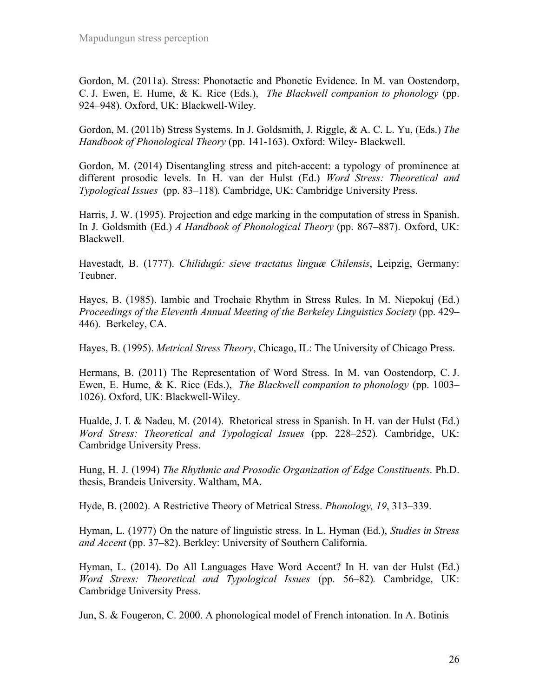Gordon, M. (2011a). Stress: Phonotactic and Phonetic Evidence. In M. van Oostendorp, C. J. Ewen, E. Hume, & K. Rice (Eds.), *The Blackwell companion to phonology* (pp. 924–948). Oxford, UK: Blackwell-Wiley.

Gordon, M. (2011b) Stress Systems. In J. Goldsmith, J. Riggle, & A. C. L. Yu, (Eds.) *The Handbook of Phonological Theory* (pp. 141-163). Oxford: Wiley- Blackwell.

Gordon, M. (2014) Disentangling stress and pitch-accent: a typology of prominence at different prosodic levels. In H. van der Hulst (Ed.) *Word Stress: Theoretical and Typological Issues* (pp. 83–118)*.* Cambridge, UK: Cambridge University Press.

Harris, J. W. (1995). Projection and edge marking in the computation of stress in Spanish. In J. Goldsmith (Ed.) *A Handbook of Phonological Theory* (pp. 867–887). Oxford, UK: Blackwell.

Havestadt, B. (1777). *Chilidugú: sieve tractatus linguæ Chilensis*, Leipzig, Germany: Teubner.

Hayes, B. (1985). Iambic and Trochaic Rhythm in Stress Rules. In M. Niepokuj (Ed.) *Proceedings of the Eleventh Annual Meeting of the Berkeley Linguistics Society* (pp. 429– 446). Berkeley, CA.

Hayes, B. (1995). *Metrical Stress Theory*, Chicago, IL: The University of Chicago Press.

Hermans, B. (2011) The Representation of Word Stress. In M. van Oostendorp, C. J. Ewen, E. Hume, & K. Rice (Eds.), *The Blackwell companion to phonology* (pp. 1003– 1026). Oxford, UK: Blackwell-Wiley.

Hualde, J. I. & Nadeu, M. (2014). Rhetorical stress in Spanish. In H. van der Hulst (Ed.) *Word Stress: Theoretical and Typological Issues* (pp. 228–252)*.* Cambridge, UK: Cambridge University Press.

Hung, H. J. (1994) *The Rhythmic and Prosodic Organization of Edge Constituents*. Ph.D. thesis, Brandeis University. Waltham, MA.

Hyde, B. (2002). A Restrictive Theory of Metrical Stress. *Phonology, 19*, 313–339.

Hyman, L. (1977) On the nature of linguistic stress. In L. Hyman (Ed.), *Studies in Stress and Accent* (pp. 37–82). Berkley: University of Southern California.

Hyman, L. (2014). Do All Languages Have Word Accent? In H. van der Hulst (Ed.) *Word Stress: Theoretical and Typological Issues* (pp. 56–82)*.* Cambridge, UK: Cambridge University Press.

Jun, S. & Fougeron, C. 2000. A phonological model of French intonation. In A. Botinis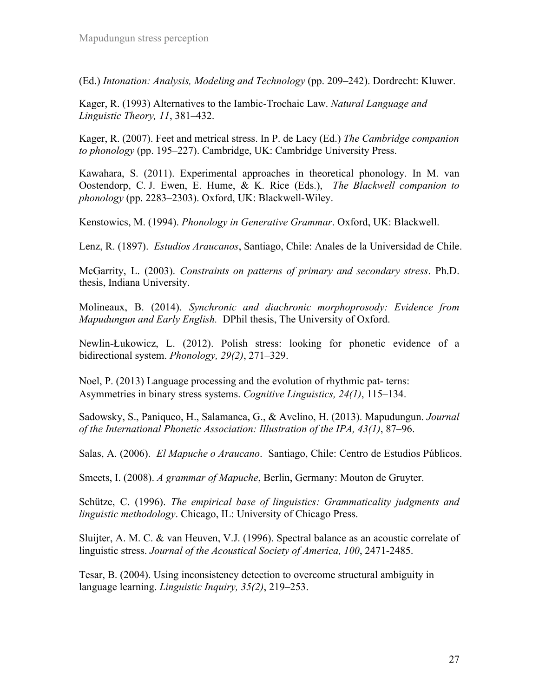(Ed.) *Intonation: Analysis, Modeling and Technology* (pp. 209–242). Dordrecht: Kluwer.

Kager, R. (1993) Alternatives to the Iambic-Trochaic Law. *Natural Language and Linguistic Theory, 11*, 381–432.

Kager, R. (2007). Feet and metrical stress. In P. de Lacy (Ed.) *The Cambridge companion to phonology* (pp. 195–227). Cambridge, UK: Cambridge University Press.

Kawahara, S. (2011). Experimental approaches in theoretical phonology. In M. van Oostendorp, C. J. Ewen, E. Hume, & K. Rice (Eds.), *The Blackwell companion to phonology* (pp. 2283–2303). Oxford, UK: Blackwell-Wiley.

Kenstowics, M. (1994). *Phonology in Generative Grammar*. Oxford, UK: Blackwell.

Lenz, R. (1897). *Estudios Araucanos*, Santiago, Chile: Anales de la Universidad de Chile.

McGarrity, L. (2003). *Constraints on patterns of primary and secondary stress*. Ph.D. thesis, Indiana University.

Molineaux, B. (2014). *Synchronic and diachronic morphoprosody: Evidence from Mapudungun and Early English.* DPhil thesis, The University of Oxford.

Newlin-Łukowicz, L. (2012). Polish stress: looking for phonetic evidence of a bidirectional system. *Phonology, 29(2)*, 271–329.

Noel, P. (2013) Language processing and the evolution of rhythmic pat- terns: Asymmetries in binary stress systems. *Cognitive Linguistics, 24(1)*, 115–134.

Sadowsky, S., Paniqueo, H., Salamanca, G., & Avelino, H. (2013). Mapudungun. *Journal of the International Phonetic Association: Illustration of the IPA, 43(1)*, 87–96.

Salas, A. (2006). *El Mapuche o Araucano*. Santiago, Chile: Centro de Estudios Públicos.

Smeets, I. (2008). *A grammar of Mapuche*, Berlin, Germany: Mouton de Gruyter.

Schütze, C. (1996). *The empirical base of linguistics: Grammaticality judgments and linguistic methodology*. Chicago, IL: University of Chicago Press.

Sluijter, A. M. C. & van Heuven, V.J. (1996). Spectral balance as an acoustic correlate of linguistic stress. *Journal of the Acoustical Society of America, 100*, 2471-2485.

Tesar, B. (2004). Using inconsistency detection to overcome structural ambiguity in language learning. *Linguistic Inquiry, 35(2)*, 219–253.